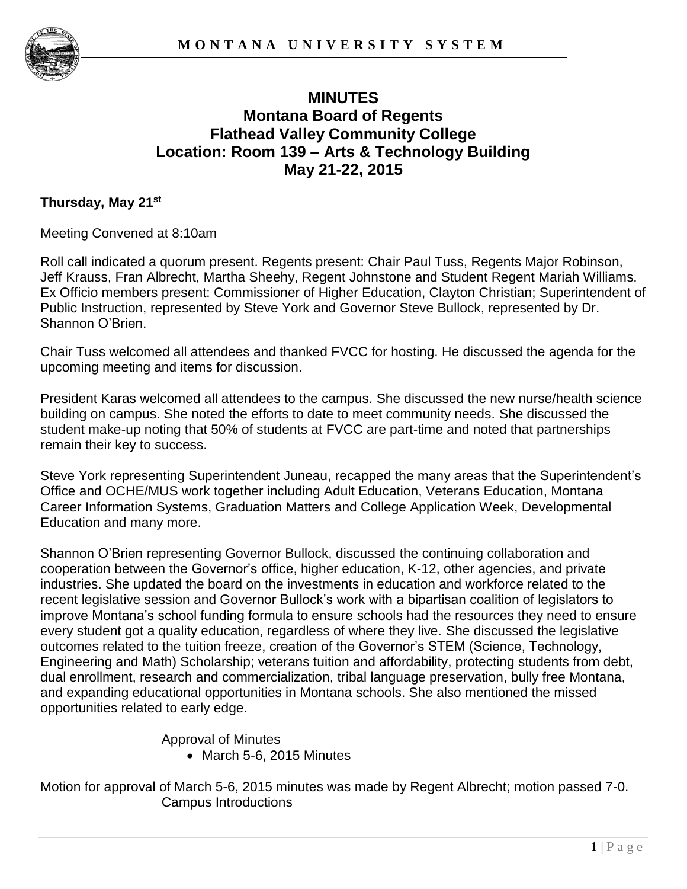

# **MINUTES Montana Board of Regents Flathead Valley Community College Location: Room 139 – Arts & Technology Building May 21-22, 2015**

#### **Thursday, May 21st**

Meeting Convened at 8:10am

Roll call indicated a quorum present. Regents present: Chair Paul Tuss, Regents Major Robinson, Jeff Krauss, Fran Albrecht, Martha Sheehy, Regent Johnstone and Student Regent Mariah Williams. Ex Officio members present: Commissioner of Higher Education, Clayton Christian; Superintendent of Public Instruction, represented by Steve York and Governor Steve Bullock, represented by Dr. Shannon O'Brien.

Chair Tuss welcomed all attendees and thanked FVCC for hosting. He discussed the agenda for the upcoming meeting and items for discussion.

President Karas welcomed all attendees to the campus. She discussed the new nurse/health science building on campus. She noted the efforts to date to meet community needs. She discussed the student make-up noting that 50% of students at FVCC are part-time and noted that partnerships remain their key to success.

Steve York representing Superintendent Juneau, recapped the many areas that the Superintendent's Office and OCHE/MUS work together including Adult Education, Veterans Education, Montana Career Information Systems, Graduation Matters and College Application Week, Developmental Education and many more.

Shannon O'Brien representing Governor Bullock, discussed the continuing collaboration and cooperation between the Governor's office, higher education, K-12, other agencies, and private industries. She updated the board on the investments in education and workforce related to the recent legislative session and Governor Bullock's work with a bipartisan coalition of legislators to improve Montana's school funding formula to ensure schools had the resources they need to ensure every student got a quality education, regardless of where they live. She discussed the legislative outcomes related to the tuition freeze, creation of the Governor's STEM (Science, Technology, Engineering and Math) Scholarship; veterans tuition and affordability, protecting students from debt, dual enrollment, research and commercialization, tribal language preservation, bully free Montana, and expanding educational opportunities in Montana schools. She also mentioned the missed opportunities related to early edge.

Approval of Minutes

• March 5-6, 2015 Minutes

Motion for approval of March 5-6, 2015 minutes was made by Regent Albrecht; motion passed 7-0. Campus Introductions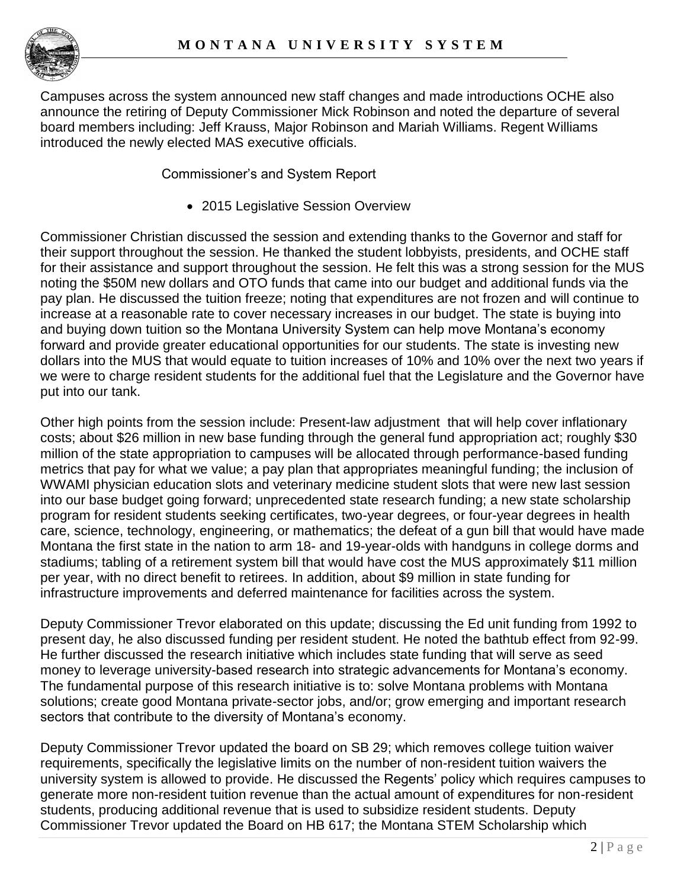

Campuses across the system announced new staff changes and made introductions OCHE also announce the retiring of Deputy Commissioner Mick Robinson and noted the departure of several board members including: Jeff Krauss, Major Robinson and Mariah Williams. Regent Williams introduced the newly elected MAS executive officials.

Commissioner's and System Report

2015 Legislative Session Overview

Commissioner Christian discussed the session and extending thanks to the Governor and staff for their support throughout the session. He thanked the student lobbyists, presidents, and OCHE staff for their assistance and support throughout the session. He felt this was a strong session for the MUS noting the \$50M new dollars and OTO funds that came into our budget and additional funds via the pay plan. He discussed the tuition freeze; noting that expenditures are not frozen and will continue to increase at a reasonable rate to cover necessary increases in our budget. The state is buying into and buying down tuition so the Montana University System can help move Montana's economy forward and provide greater educational opportunities for our students. The state is investing new dollars into the MUS that would equate to tuition increases of 10% and 10% over the next two years if we were to charge resident students for the additional fuel that the Legislature and the Governor have put into our tank.

Other high points from the session include: Present-law adjustment that will help cover inflationary costs; about \$26 million in new base funding through the general fund appropriation act; roughly \$30 million of the state appropriation to campuses will be allocated through performance-based funding metrics that pay for what we value; a pay plan that appropriates meaningful funding; the inclusion of WWAMI physician education slots and veterinary medicine student slots that were new last session into our base budget going forward; unprecedented state research funding; a new state scholarship program for resident students seeking certificates, two-year degrees, or four-year degrees in health care, science, technology, engineering, or mathematics; the defeat of a gun bill that would have made Montana the first state in the nation to arm 18- and 19-year-olds with handguns in college dorms and stadiums; tabling of a retirement system bill that would have cost the MUS approximately \$11 million per year, with no direct benefit to retirees. In addition, about \$9 million in state funding for infrastructure improvements and deferred maintenance for facilities across the system.

Deputy Commissioner Trevor elaborated on this update; discussing the Ed unit funding from 1992 to present day, he also discussed funding per resident student. He noted the bathtub effect from 92-99. He further discussed the research initiative which includes state funding that will serve as seed money to leverage university-based research into strategic advancements for Montana's economy. The fundamental purpose of this research initiative is to: solve Montana problems with Montana solutions; create good Montana private-sector jobs, and/or; grow emerging and important research sectors that contribute to the diversity of Montana's economy.

Deputy Commissioner Trevor updated the board on SB 29; which removes college tuition waiver requirements, specifically the legislative limits on the number of non-resident tuition waivers the university system is allowed to provide. He discussed the Regents' policy which requires campuses to generate more non-resident tuition revenue than the actual amount of expenditures for non-resident students, producing additional revenue that is used to subsidize resident students. Deputy Commissioner Trevor updated the Board on HB 617; the Montana STEM Scholarship which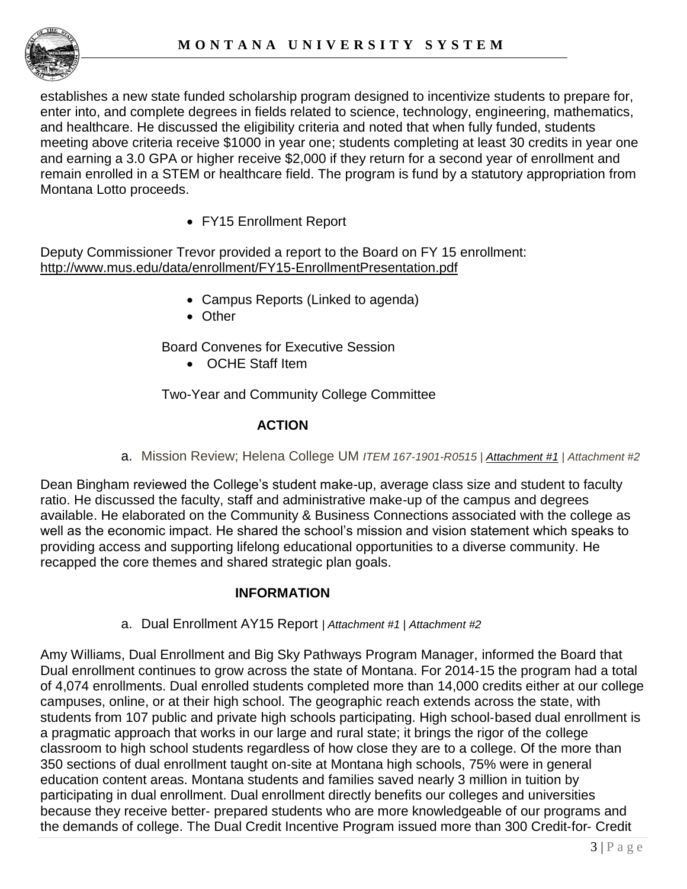

establishes a new state funded scholarship program designed to incentivize students to prepare for, enter into, and complete degrees in fields related to science, technology, engineering, mathematics, and healthcare. He discussed the eligibility criteria and noted that when fully funded, students meeting above criteria receive \$1000 in year one; students completing at least 30 credits in year one and earning a 3.0 GPA or higher receive \$2,000 if they return for a second year of enrollment and remain enrolled in a STEM or healthcare field. The program is fund by a statutory appropriation from Montana Lotto proceeds.

FY15 Enrollment Report

Deputy Commissioner Trevor provided a report to the Board on FY 15 enrollment: <http://www.mus.edu/data/enrollment/FY15-EnrollmentPresentation.pdf>

- Campus Reports (Linked to agenda)
- Other

Board Convenes for Executive Session

OCHE Staff Item

Two-Year and Community College Committee

## **ACTION**

a. Mission Review; Helena College UM *ITEM 167-1901-R0515 | [Attachment #1](http://mus.edu/board/meetings/2015/MAR2015/TwoYear/166-2902-R0315_A1.pdf) | Attachment #2*

Dean Bingham reviewed the College's student make-up, average class size and student to faculty ratio. He discussed the faculty, staff and administrative make-up of the campus and degrees available. He elaborated on the Community & Business Connections associated with the college as well as the economic impact. He shared the school's mission and vision statement which speaks to providing access and supporting lifelong educational opportunities to a diverse community. He recapped the core themes and shared strategic plan goals.

## **INFORMATION**

a. Dual Enrollment AY15 Report *| Attachment #1 | Attachment #2*

Amy Williams, Dual Enrollment and Big Sky Pathways Program Manager, informed the Board that Dual enrollment continues to grow across the state of Montana. For 2014‐15 the program had a total of 4,074 enrollments. Dual enrolled students completed more than 14,000 credits either at our college campuses, online, or at their high school. The geographic reach extends across the state, with students from 107 public and private high schools participating. High school-based dual enrollment is a pragmatic approach that works in our large and rural state; it brings the rigor of the college classroom to high school students regardless of how close they are to a college. Of the more than 350 sections of dual enrollment taught on‐site at Montana high schools, 75% were in general education content areas. Montana students and families saved nearly 3 million in tuition by participating in dual enrollment. Dual enrollment directly benefits our colleges and universities because they receive better‐ prepared students who are more knowledgeable of our programs and the demands of college. The Dual Credit Incentive Program issued more than 300 Credit‐for‐ Credit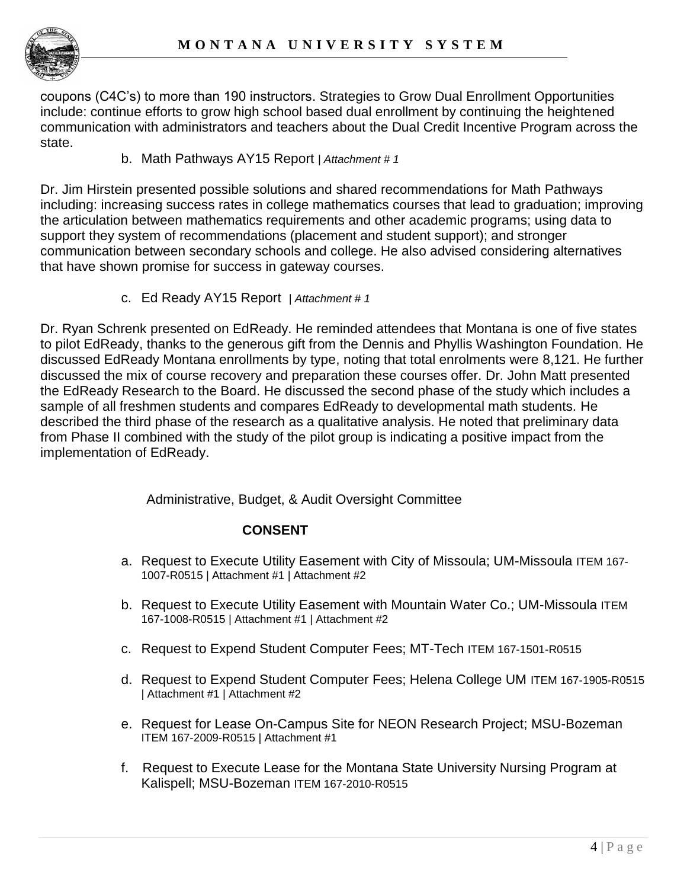

coupons (C4C's) to more than 190 instructors. Strategies to Grow Dual Enrollment Opportunities include: continue efforts to grow high school based dual enrollment by continuing the heightened communication with administrators and teachers about the Dual Credit Incentive Program across the state.

### b. Math Pathways AY15 Report | *Attachment # 1*

Dr. Jim Hirstein presented possible solutions and shared recommendations for Math Pathways including: increasing success rates in college mathematics courses that lead to graduation; improving the articulation between mathematics requirements and other academic programs; using data to support they system of recommendations (placement and student support); and stronger communication between secondary schools and college. He also advised considering alternatives that have shown promise for success in gateway courses.

c. Ed Ready AY15 Report | *Attachment # 1*

Dr. Ryan Schrenk presented on EdReady. He reminded attendees that Montana is one of five states to pilot EdReady, thanks to the generous gift from the Dennis and Phyllis Washington Foundation. He discussed EdReady Montana enrollments by type, noting that total enrolments were 8,121. He further discussed the mix of course recovery and preparation these courses offer. Dr. John Matt presented the EdReady Research to the Board. He discussed the second phase of the study which includes a sample of all freshmen students and compares EdReady to developmental math students. He described the third phase of the research as a qualitative analysis. He noted that preliminary data from Phase II combined with the study of the pilot group is indicating a positive impact from the implementation of EdReady.

Administrative, Budget, & Audit Oversight Committee

## **CONSENT**

- a. Request to Execute Utility Easement with City of Missoula; UM-Missoula ITEM 167- 1007-R0515 | Attachment #1 | Attachment #2
- b. Request to Execute Utility Easement with Mountain Water Co.; UM-Missoula ITEM 167-1008-R0515 | Attachment #1 | Attachment #2
- c. Request to Expend Student Computer Fees; MT-Tech ITEM 167-1501-R0515
- d. Request to Expend Student Computer Fees; Helena College UM ITEM 167-1905-R0515 | Attachment #1 | Attachment #2
- e. Request for Lease On-Campus Site for NEON Research Project; MSU-Bozeman ITEM 167-2009-R0515 | Attachment #1
- f. Request to Execute Lease for the Montana State University Nursing Program at Kalispell; MSU-Bozeman ITEM 167-2010-R0515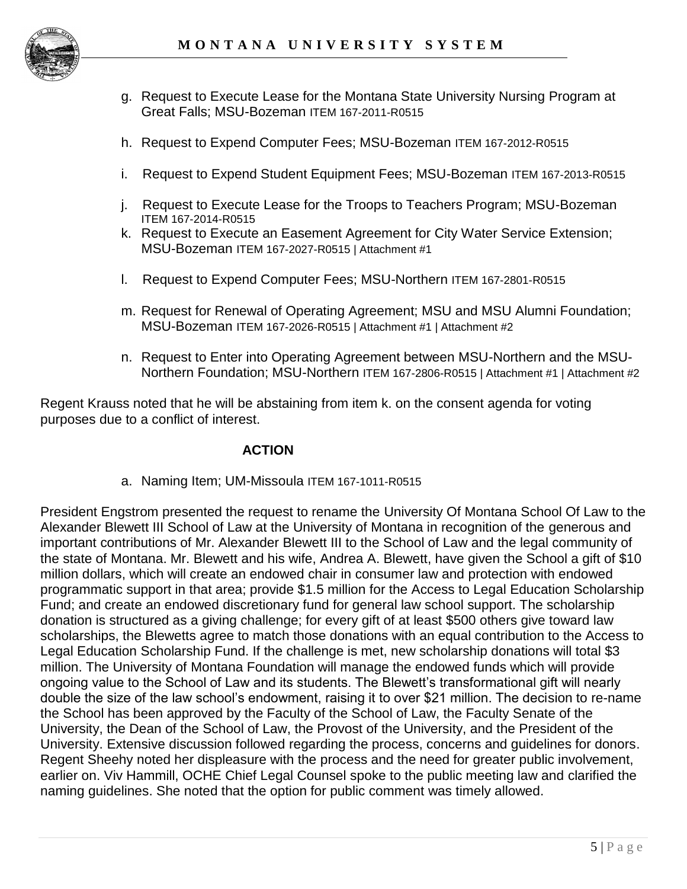

- g. Request to Execute Lease for the Montana State University Nursing Program at Great Falls; MSU-Bozeman ITEM 167-2011-R0515
- h. Request to Expend Computer Fees; MSU-Bozeman ITEM 167-2012-R0515
- i. Request to Expend Student Equipment Fees; MSU-Bozeman ITEM 167-2013-R0515
- j. Request to Execute Lease for the Troops to Teachers Program; MSU-Bozeman ITEM 167-2014-R0515
- k. Request to Execute an Easement Agreement for City Water Service Extension; MSU-Bozeman ITEM 167-2027-R0515 | Attachment #1
- l. Request to Expend Computer Fees; MSU-Northern ITEM 167-2801-R0515
- m. Request for Renewal of Operating Agreement; MSU and MSU Alumni Foundation; MSU-Bozeman ITEM 167-2026-R0515 | Attachment #1 | Attachment #2
- n. Request to Enter into Operating Agreement between MSU-Northern and the MSU-Northern Foundation; MSU-Northern ITEM 167-2806-R0515 | Attachment #1 | Attachment #2

Regent Krauss noted that he will be abstaining from item k. on the consent agenda for voting purposes due to a conflict of interest.

### **ACTION**

a. Naming Item; UM-Missoula ITEM 167-1011-R0515

President Engstrom presented the request to rename the University Of Montana School Of Law to the Alexander Blewett III School of Law at the University of Montana in recognition of the generous and important contributions of Mr. Alexander Blewett III to the School of Law and the legal community of the state of Montana. Mr. Blewett and his wife, Andrea A. Blewett, have given the School a gift of \$10 million dollars, which will create an endowed chair in consumer law and protection with endowed programmatic support in that area; provide \$1.5 million for the Access to Legal Education Scholarship Fund; and create an endowed discretionary fund for general law school support. The scholarship donation is structured as a giving challenge; for every gift of at least \$500 others give toward law scholarships, the Blewetts agree to match those donations with an equal contribution to the Access to Legal Education Scholarship Fund. If the challenge is met, new scholarship donations will total \$3 million. The University of Montana Foundation will manage the endowed funds which will provide ongoing value to the School of Law and its students. The Blewett's transformational gift will nearly double the size of the law school's endowment, raising it to over \$21 million. The decision to re-name the School has been approved by the Faculty of the School of Law, the Faculty Senate of the University, the Dean of the School of Law, the Provost of the University, and the President of the University. Extensive discussion followed regarding the process, concerns and guidelines for donors. Regent Sheehy noted her displeasure with the process and the need for greater public involvement, earlier on. Viv Hammill, OCHE Chief Legal Counsel spoke to the public meeting law and clarified the naming guidelines. She noted that the option for public comment was timely allowed.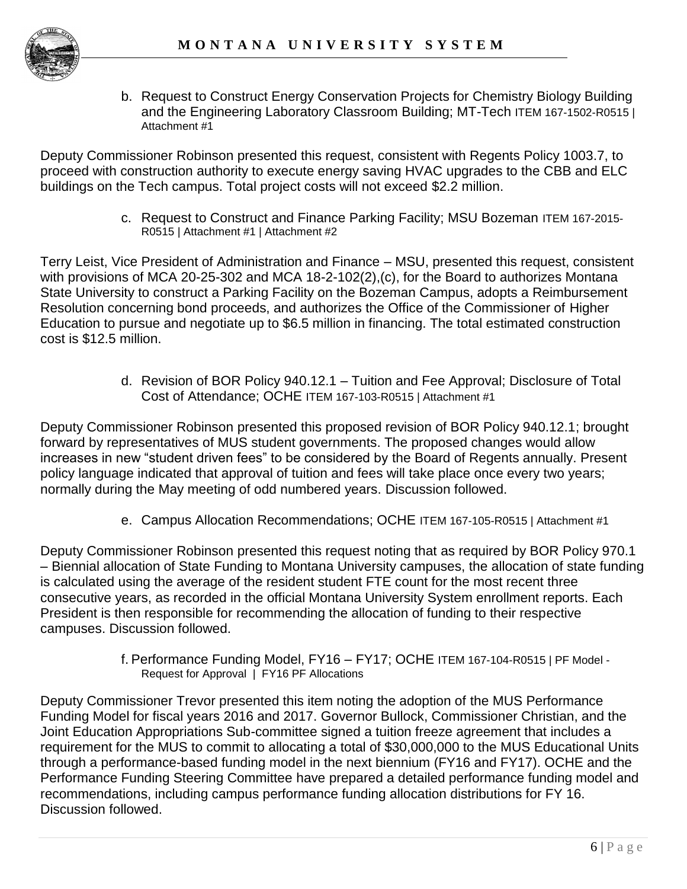

b. Request to Construct Energy Conservation Projects for Chemistry Biology Building and the Engineering Laboratory Classroom Building; MT-Tech ITEM 167-1502-R0515 | Attachment #1

Deputy Commissioner Robinson presented this request, consistent with Regents Policy 1003.7, to proceed with construction authority to execute energy saving HVAC upgrades to the CBB and ELC buildings on the Tech campus. Total project costs will not exceed \$2.2 million.

> c. Request to Construct and Finance Parking Facility; MSU Bozeman ITEM 167-2015- R0515 | Attachment #1 | Attachment #2

Terry Leist, Vice President of Administration and Finance – MSU, presented this request, consistent with provisions of MCA 20-25-302 and MCA 18-2-102(2),(c), for the Board to authorizes Montana State University to construct a Parking Facility on the Bozeman Campus, adopts a Reimbursement Resolution concerning bond proceeds, and authorizes the Office of the Commissioner of Higher Education to pursue and negotiate up to \$6.5 million in financing. The total estimated construction cost is \$12.5 million.

> d. Revision of BOR Policy 940.12.1 – Tuition and Fee Approval; Disclosure of Total Cost of Attendance; OCHE ITEM 167-103-R0515 | Attachment #1

Deputy Commissioner Robinson presented this proposed revision of BOR Policy 940.12.1; brought forward by representatives of MUS student governments. The proposed changes would allow increases in new "student driven fees" to be considered by the Board of Regents annually. Present policy language indicated that approval of tuition and fees will take place once every two years; normally during the May meeting of odd numbered years. Discussion followed.

e. Campus Allocation Recommendations; OCHE ITEM 167-105-R0515 | Attachment #1

Deputy Commissioner Robinson presented this request noting that as required by BOR Policy 970.1 – Biennial allocation of State Funding to Montana University campuses, the allocation of state funding is calculated using the average of the resident student FTE count for the most recent three consecutive years, as recorded in the official Montana University System enrollment reports. Each President is then responsible for recommending the allocation of funding to their respective campuses. Discussion followed.

> f. Performance Funding Model, FY16 – FY17; OCHE ITEM 167-104-R0515 | PF Model - Request for Approval | FY16 PF Allocations

Deputy Commissioner Trevor presented this item noting the adoption of the MUS Performance Funding Model for fiscal years 2016 and 2017. Governor Bullock, Commissioner Christian, and the Joint Education Appropriations Sub-committee signed a tuition freeze agreement that includes a requirement for the MUS to commit to allocating a total of \$30,000,000 to the MUS Educational Units through a performance-based funding model in the next biennium (FY16 and FY17). OCHE and the Performance Funding Steering Committee have prepared a detailed performance funding model and recommendations, including campus performance funding allocation distributions for FY 16. Discussion followed.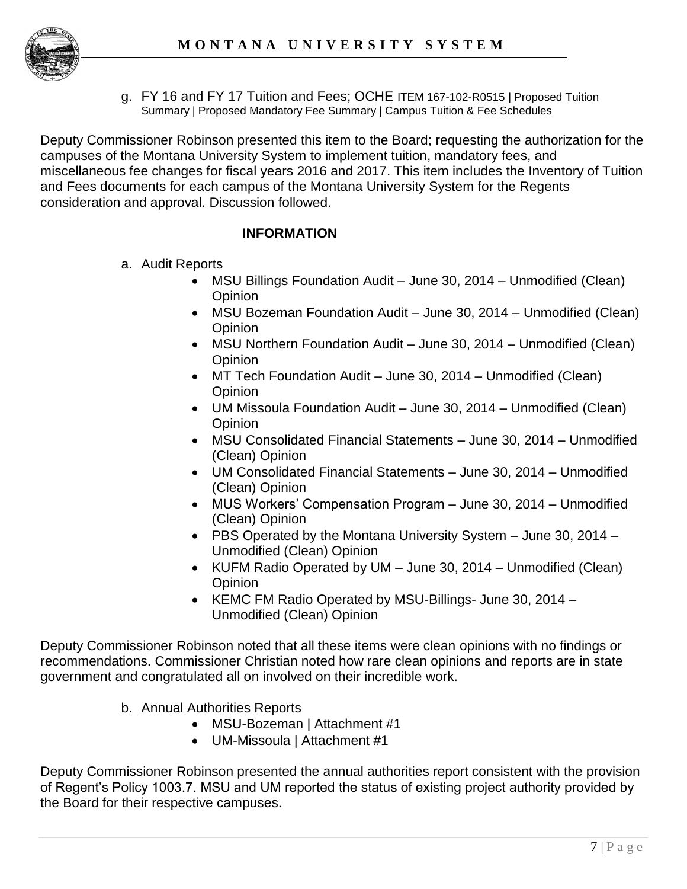

g. FY 16 and FY 17 Tuition and Fees; OCHE ITEM 167-102-R0515 | Proposed Tuition Summary | Proposed Mandatory Fee Summary | Campus Tuition & Fee Schedules

Deputy Commissioner Robinson presented this item to the Board; requesting the authorization for the campuses of the Montana University System to implement tuition, mandatory fees, and miscellaneous fee changes for fiscal years 2016 and 2017. This item includes the Inventory of Tuition and Fees documents for each campus of the Montana University System for the Regents consideration and approval. Discussion followed.

## **INFORMATION**

- a. Audit Reports
	- MSU Billings Foundation Audit June 30, 2014 Unmodified (Clean) **Opinion**
	- MSU Bozeman Foundation Audit June 30, 2014 Unmodified (Clean) **Opinion**
	- MSU Northern Foundation Audit June 30, 2014 Unmodified (Clean) **Opinion**
	- MT Tech Foundation Audit June 30, 2014 Unmodified (Clean) **Opinion**
	- UM Missoula Foundation Audit June 30, 2014 Unmodified (Clean) **Opinion**
	- MSU Consolidated Financial Statements June 30, 2014 Unmodified (Clean) Opinion
	- UM Consolidated Financial Statements June 30, 2014 Unmodified (Clean) Opinion
	- MUS Workers' Compensation Program June 30, 2014 Unmodified (Clean) Opinion
	- PBS Operated by the Montana University System June 30, 2014 Unmodified (Clean) Opinion
	- KUFM Radio Operated by UM June 30, 2014 Unmodified (Clean) **Opinion**
	- KEMC FM Radio Operated by MSU-Billings- June 30, 2014 -Unmodified (Clean) Opinion

Deputy Commissioner Robinson noted that all these items were clean opinions with no findings or recommendations. Commissioner Christian noted how rare clean opinions and reports are in state government and congratulated all on involved on their incredible work.

- b. Annual Authorities Reports
	- MSU-Bozeman | Attachment #1
	- UM-Missoula | Attachment #1

Deputy Commissioner Robinson presented the annual authorities report consistent with the provision of Regent's Policy 1003.7. MSU and UM reported the status of existing project authority provided by the Board for their respective campuses.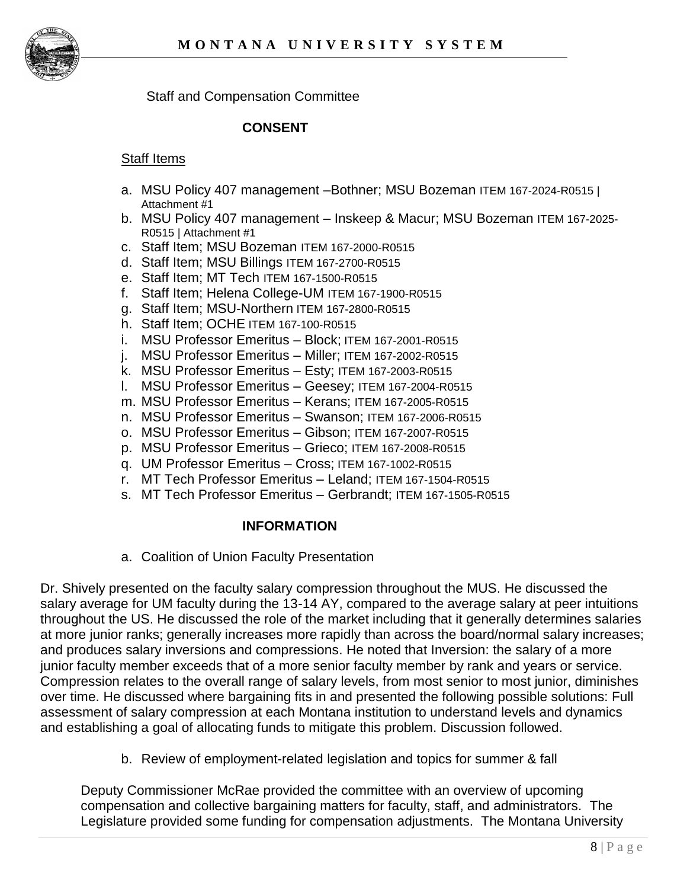

Staff and Compensation Committee

### **CONSENT**

#### Staff Items

- a. MSU Policy 407 management –Bothner; MSU Bozeman ITEM 167-2024-R0515 | Attachment #1
- b. MSU Policy 407 management Inskeep & Macur; MSU Bozeman ITEM 167-2025- R0515 | Attachment #1
- c. Staff Item; MSU Bozeman ITEM 167-2000-R0515
- d. Staff Item; MSU Billings ITEM 167-2700-R0515
- e. Staff Item; MT Tech ITEM 167-1500-R0515
- f. Staff Item; Helena College-UM ITEM 167-1900-R0515
- g. Staff Item; MSU-Northern ITEM 167-2800-R0515
- h. Staff Item; OCHE ITEM 167-100-R0515
- i. MSU Professor Emeritus Block; ITEM 167-2001-R0515
- j. MSU Professor Emeritus Miller; ITEM 167-2002-R0515
- k. MSU Professor Emeritus Esty; ITEM 167-2003-R0515
- l. MSU Professor Emeritus Geesey; ITEM 167-2004-R0515
- m. MSU Professor Emeritus Kerans; ITEM 167-2005-R0515
- n. MSU Professor Emeritus Swanson; ITEM 167-2006-R0515
- o. MSU Professor Emeritus Gibson; ITEM 167-2007-R0515
- p. MSU Professor Emeritus Grieco; ITEM 167-2008-R0515
- q. UM Professor Emeritus Cross; ITEM 167-1002-R0515
- r. MT Tech Professor Emeritus Leland; ITEM 167-1504-R0515
- s. MT Tech Professor Emeritus Gerbrandt; ITEM 167-1505-R0515

### **INFORMATION**

a. Coalition of Union Faculty Presentation

Dr. Shively presented on the faculty salary compression throughout the MUS. He discussed the salary average for UM faculty during the 13-14 AY, compared to the average salary at peer intuitions throughout the US. He discussed the role of the market including that it generally determines salaries at more junior ranks; generally increases more rapidly than across the board/normal salary increases; and produces salary inversions and compressions. He noted that Inversion: the salary of a more junior faculty member exceeds that of a more senior faculty member by rank and years or service. Compression relates to the overall range of salary levels, from most senior to most junior, diminishes over time. He discussed where bargaining fits in and presented the following possible solutions: Full assessment of salary compression at each Montana institution to understand levels and dynamics and establishing a goal of allocating funds to mitigate this problem. Discussion followed.

b. Review of employment-related legislation and topics for summer & fall

Deputy Commissioner McRae provided the committee with an overview of upcoming compensation and collective bargaining matters for faculty, staff, and administrators. The Legislature provided some funding for compensation adjustments. The Montana University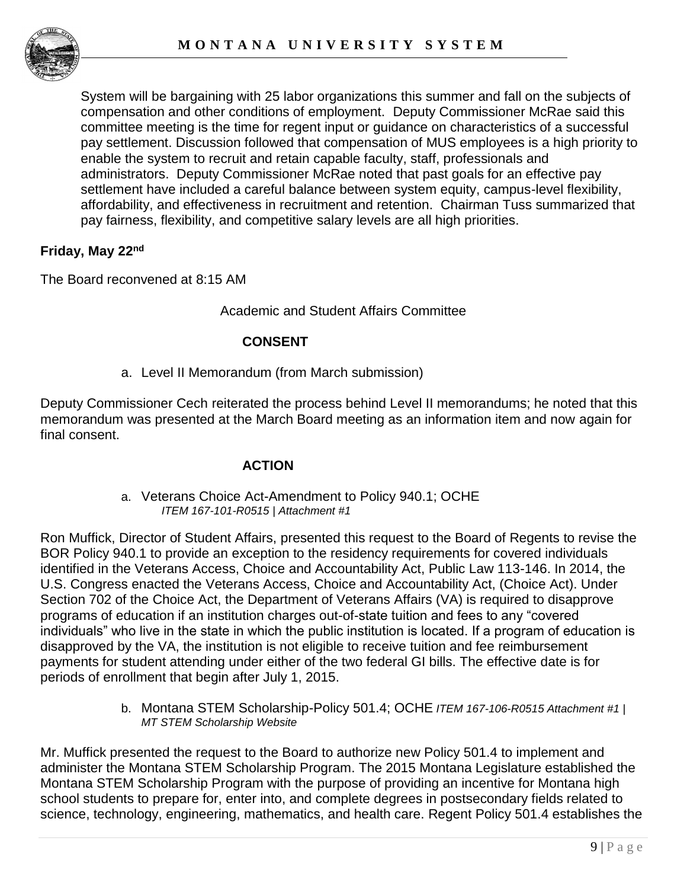

System will be bargaining with 25 labor organizations this summer and fall on the subjects of compensation and other conditions of employment. Deputy Commissioner McRae said this committee meeting is the time for regent input or guidance on characteristics of a successful pay settlement. Discussion followed that compensation of MUS employees is a high priority to enable the system to recruit and retain capable faculty, staff, professionals and administrators. Deputy Commissioner McRae noted that past goals for an effective pay settlement have included a careful balance between system equity, campus-level flexibility, affordability, and effectiveness in recruitment and retention. Chairman Tuss summarized that pay fairness, flexibility, and competitive salary levels are all high priorities.

### **Friday, May 22nd**

The Board reconvened at 8:15 AM

### Academic and Student Affairs Committee

### **CONSENT**

a. Level II Memorandum (from March submission)

Deputy Commissioner Cech reiterated the process behind Level II memorandums; he noted that this memorandum was presented at the March Board meeting as an information item and now again for final consent.

## **ACTION**

a. Veterans Choice Act-Amendment to Policy 940.1; OCHE *ITEM 167-101-R0515 | Attachment #1*

Ron Muffick, Director of Student Affairs, presented this request to the Board of Regents to revise the BOR Policy 940.1 to provide an exception to the residency requirements for covered individuals identified in the Veterans Access, Choice and Accountability Act, Public Law 113-146. In 2014, the U.S. Congress enacted the Veterans Access, Choice and Accountability Act, (Choice Act). Under Section 702 of the Choice Act, the Department of Veterans Affairs (VA) is required to disapprove programs of education if an institution charges out-of-state tuition and fees to any "covered individuals" who live in the state in which the public institution is located. If a program of education is disapproved by the VA, the institution is not eligible to receive tuition and fee reimbursement payments for student attending under either of the two federal GI bills. The effective date is for periods of enrollment that begin after July 1, 2015.

> b. Montana STEM Scholarship-Policy 501.4; OCHE *ITEM 167-106-R0515 Attachment #1 | MT STEM Scholarship Website*

Mr. Muffick presented the request to the Board to authorize new Policy 501.4 to implement and administer the Montana STEM Scholarship Program. The 2015 Montana Legislature established the Montana STEM Scholarship Program with the purpose of providing an incentive for Montana high school students to prepare for, enter into, and complete degrees in postsecondary fields related to science, technology, engineering, mathematics, and health care. Regent Policy 501.4 establishes the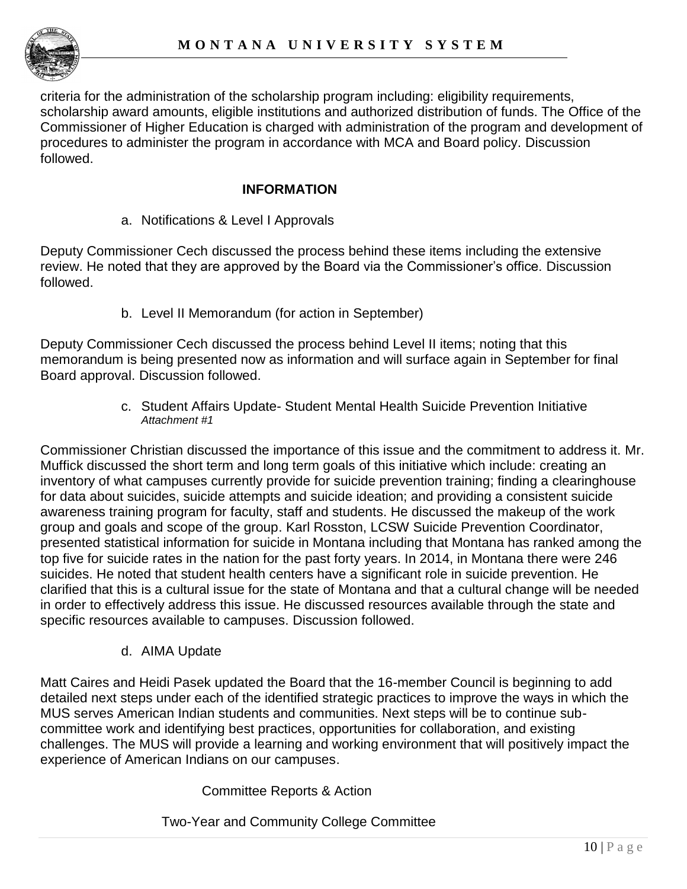

criteria for the administration of the scholarship program including: eligibility requirements, scholarship award amounts, eligible institutions and authorized distribution of funds. The Office of the Commissioner of Higher Education is charged with administration of the program and development of procedures to administer the program in accordance with MCA and Board policy. Discussion followed.

### **INFORMATION**

a. Notifications & Level I Approvals

Deputy Commissioner Cech discussed the process behind these items including the extensive review. He noted that they are approved by the Board via the Commissioner's office. Discussion followed.

b. Level II Memorandum (for action in September)

Deputy Commissioner Cech discussed the process behind Level II items; noting that this memorandum is being presented now as information and will surface again in September for final Board approval. Discussion followed.

> c. Student Affairs Update- Student Mental Health Suicide Prevention Initiative *Attachment #1*

Commissioner Christian discussed the importance of this issue and the commitment to address it. Mr. Muffick discussed the short term and long term goals of this initiative which include: creating an inventory of what campuses currently provide for suicide prevention training; finding a clearinghouse for data about suicides, suicide attempts and suicide ideation; and providing a consistent suicide awareness training program for faculty, staff and students. He discussed the makeup of the work group and goals and scope of the group. Karl Rosston, LCSW Suicide Prevention Coordinator, presented statistical information for suicide in Montana including that Montana has ranked among the top five for suicide rates in the nation for the past forty years. In 2014, in Montana there were 246 suicides. He noted that student health centers have a significant role in suicide prevention. He clarified that this is a cultural issue for the state of Montana and that a cultural change will be needed in order to effectively address this issue. He discussed resources available through the state and specific resources available to campuses. Discussion followed.

d. AIMA Update

Matt Caires and Heidi Pasek updated the Board that the 16-member Council is beginning to add detailed next steps under each of the identified strategic practices to improve the ways in which the MUS serves American Indian students and communities. Next steps will be to continue subcommittee work and identifying best practices, opportunities for collaboration, and existing challenges. The MUS will provide a learning and working environment that will positively impact the experience of American Indians on our campuses.

### Committee Reports & Action

Two-Year and Community College Committee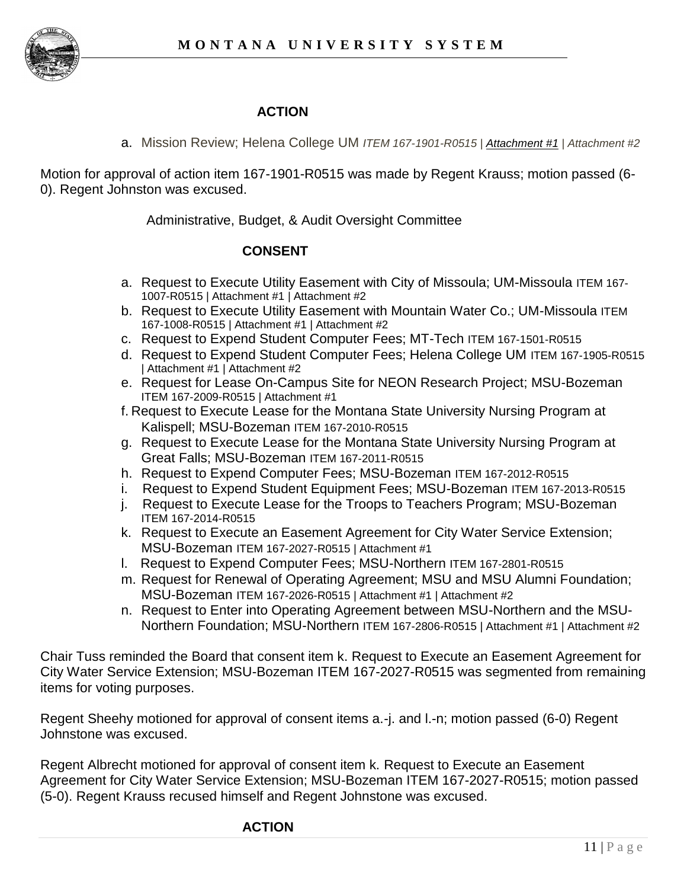

# **ACTION**

a. Mission Review; Helena College UM *ITEM 167-1901-R0515 | [Attachment #1](http://mus.edu/board/meetings/2015/MAR2015/TwoYear/166-2902-R0315_A1.pdf) | Attachment #2*

Motion for approval of action item 167-1901-R0515 was made by Regent Krauss; motion passed (6- 0). Regent Johnston was excused.

Administrative, Budget, & Audit Oversight Committee

### **CONSENT**

- a. Request to Execute Utility Easement with City of Missoula; UM-Missoula ITEM 167- 1007-R0515 | Attachment #1 | Attachment #2
- b. Request to Execute Utility Easement with Mountain Water Co.; UM-Missoula ITEM 167-1008-R0515 | Attachment #1 | Attachment #2
- c. Request to Expend Student Computer Fees; MT-Tech ITEM 167-1501-R0515
- d. Request to Expend Student Computer Fees; Helena College UM ITEM 167-1905-R0515 | Attachment #1 | Attachment #2
- e. Request for Lease On-Campus Site for NEON Research Project; MSU-Bozeman ITEM 167-2009-R0515 | Attachment #1
- f. Request to Execute Lease for the Montana State University Nursing Program at Kalispell; MSU-Bozeman ITEM 167-2010-R0515
- g. Request to Execute Lease for the Montana State University Nursing Program at Great Falls; MSU-Bozeman ITEM 167-2011-R0515
- h. Request to Expend Computer Fees; MSU-Bozeman ITEM 167-2012-R0515
- i. Request to Expend Student Equipment Fees; MSU-Bozeman ITEM 167-2013-R0515
- j. Request to Execute Lease for the Troops to Teachers Program; MSU-Bozeman ITEM 167-2014-R0515
- k. Request to Execute an Easement Agreement for City Water Service Extension; MSU-Bozeman ITEM 167-2027-R0515 | Attachment #1
- l. Request to Expend Computer Fees; MSU-Northern ITEM 167-2801-R0515
- m. Request for Renewal of Operating Agreement; MSU and MSU Alumni Foundation; MSU-Bozeman ITEM 167-2026-R0515 | Attachment #1 | Attachment #2
- n. Request to Enter into Operating Agreement between MSU-Northern and the MSU-Northern Foundation; MSU-Northern ITEM 167-2806-R0515 | Attachment #1 | Attachment #2

Chair Tuss reminded the Board that consent item k. Request to Execute an Easement Agreement for City Water Service Extension; MSU-Bozeman ITEM 167-2027-R0515 was segmented from remaining items for voting purposes.

Regent Sheehy motioned for approval of consent items a.-j. and l.-n; motion passed (6-0) Regent Johnstone was excused.

Regent Albrecht motioned for approval of consent item k. Request to Execute an Easement Agreement for City Water Service Extension; MSU-Bozeman ITEM 167-2027-R0515; motion passed (5-0). Regent Krauss recused himself and Regent Johnstone was excused.

### **ACTION**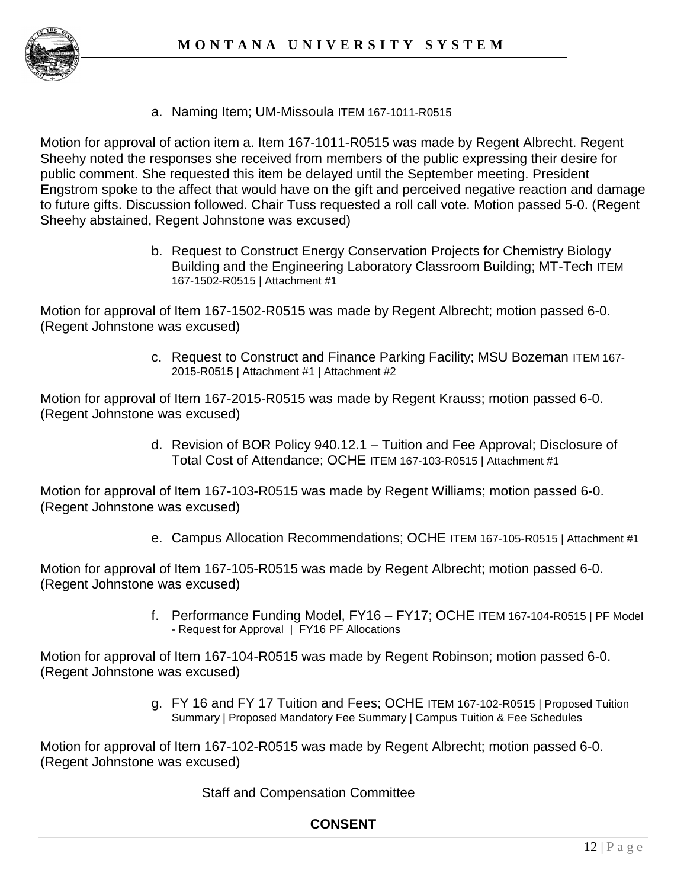

a. Naming Item; UM-Missoula ITEM 167-1011-R0515

Motion for approval of action item a. Item 167-1011-R0515 was made by Regent Albrecht. Regent Sheehy noted the responses she received from members of the public expressing their desire for public comment. She requested this item be delayed until the September meeting. President Engstrom spoke to the affect that would have on the gift and perceived negative reaction and damage to future gifts. Discussion followed. Chair Tuss requested a roll call vote. Motion passed 5-0. (Regent Sheehy abstained, Regent Johnstone was excused)

> b. Request to Construct Energy Conservation Projects for Chemistry Biology Building and the Engineering Laboratory Classroom Building; MT-Tech ITEM 167-1502-R0515 | Attachment #1

Motion for approval of Item 167-1502-R0515 was made by Regent Albrecht; motion passed 6-0. (Regent Johnstone was excused)

> c. Request to Construct and Finance Parking Facility; MSU Bozeman ITEM 167- 2015-R0515 | Attachment #1 | Attachment #2

Motion for approval of Item 167-2015-R0515 was made by Regent Krauss; motion passed 6-0. (Regent Johnstone was excused)

> d. Revision of BOR Policy 940.12.1 – Tuition and Fee Approval; Disclosure of Total Cost of Attendance; OCHE ITEM 167-103-R0515 | Attachment #1

Motion for approval of Item 167-103-R0515 was made by Regent Williams; motion passed 6-0. (Regent Johnstone was excused)

e. Campus Allocation Recommendations; OCHE ITEM 167-105-R0515 | Attachment #1

Motion for approval of Item 167-105-R0515 was made by Regent Albrecht; motion passed 6-0. (Regent Johnstone was excused)

> f. Performance Funding Model, FY16 – FY17; OCHE ITEM 167-104-R0515 | PF Model - Request for Approval | FY16 PF Allocations

Motion for approval of Item 167-104-R0515 was made by Regent Robinson; motion passed 6-0. (Regent Johnstone was excused)

> g. FY 16 and FY 17 Tuition and Fees; OCHE ITEM 167-102-R0515 | Proposed Tuition Summary | Proposed Mandatory Fee Summary | Campus Tuition & Fee Schedules

Motion for approval of Item 167-102-R0515 was made by Regent Albrecht; motion passed 6-0. (Regent Johnstone was excused)

Staff and Compensation Committee

## **CONSENT**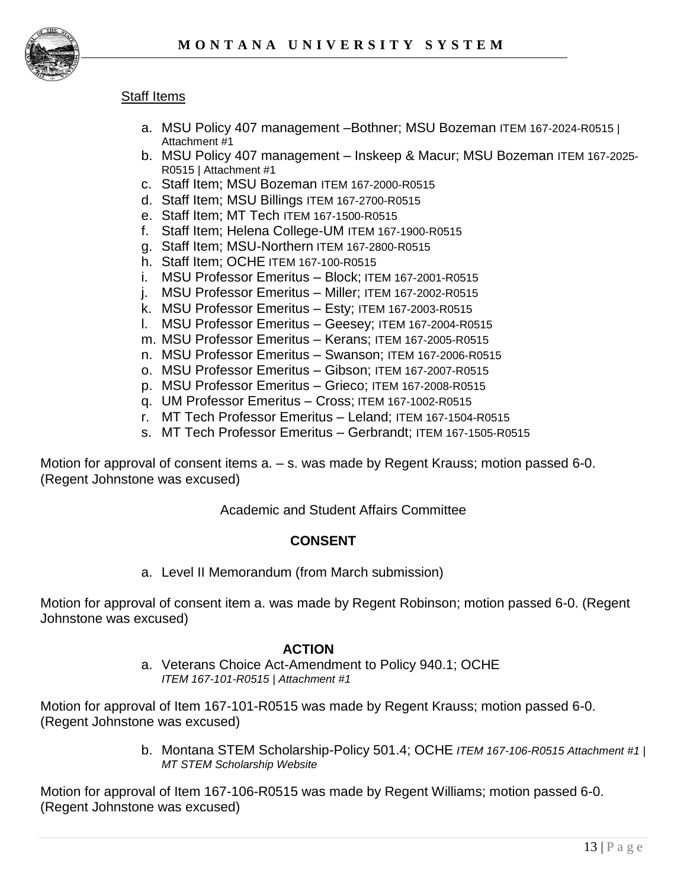

#### **Staff Items**

- a. MSU Policy 407 management –Bothner; MSU Bozeman ITEM 167-2024-R0515 | Attachment #1
- b. MSU Policy 407 management Inskeep & Macur; MSU Bozeman ITEM 167-2025- R0515 | Attachment #1
- c. Staff Item; MSU Bozeman ITEM 167-2000-R0515
- d. Staff Item; MSU Billings ITEM 167-2700-R0515
- e. Staff Item; MT Tech ITEM 167-1500-R0515
- f. Staff Item; Helena College-UM ITEM 167-1900-R0515
- g. Staff Item; MSU-Northern ITEM 167-2800-R0515
- h. Staff Item; OCHE ITEM 167-100-R0515
- i. MSU Professor Emeritus Block; ITEM 167-2001-R0515
- j. MSU Professor Emeritus Miller; ITEM 167-2002-R0515
- k. MSU Professor Emeritus Esty; ITEM 167-2003-R0515
- l. MSU Professor Emeritus Geesey; ITEM 167-2004-R0515
- m. MSU Professor Emeritus Kerans; ITEM 167-2005-R0515
- n. MSU Professor Emeritus Swanson; ITEM 167-2006-R0515
- o. MSU Professor Emeritus Gibson; ITEM 167-2007-R0515
- p. MSU Professor Emeritus Grieco; ITEM 167-2008-R0515
- q. UM Professor Emeritus Cross; ITEM 167-1002-R0515
- r. MT Tech Professor Emeritus Leland; ITEM 167-1504-R0515
- s. MT Tech Professor Emeritus Gerbrandt; ITEM 167-1505-R0515

Motion for approval of consent items a. – s. was made by Regent Krauss; motion passed 6-0. (Regent Johnstone was excused)

#### Academic and Student Affairs Committee

#### **CONSENT**

a. Level II Memorandum (from March submission)

Motion for approval of consent item a. was made by Regent Robinson; motion passed 6-0. (Regent Johnstone was excused)

#### **ACTION**

a. Veterans Choice Act-Amendment to Policy 940.1; OCHE *ITEM 167-101-R0515 | Attachment #1*

Motion for approval of Item 167-101-R0515 was made by Regent Krauss; motion passed 6-0. (Regent Johnstone was excused)

> b. Montana STEM Scholarship-Policy 501.4; OCHE *ITEM 167-106-R0515 Attachment #1 | MT STEM Scholarship Website*

Motion for approval of Item 167-106-R0515 was made by Regent Williams; motion passed 6-0. (Regent Johnstone was excused)